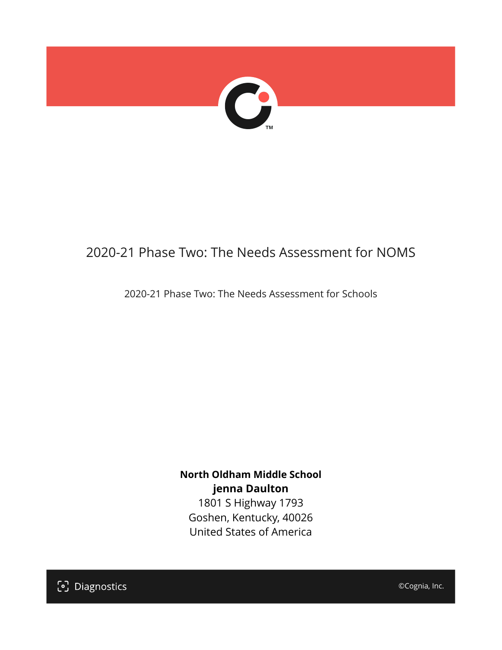

# 2020-21 Phase Two: The Needs Assessment for NOMS

2020-21 Phase Two: The Needs Assessment for Schools

**North Oldham Middle School jenna Daulton** 1801 S Highway 1793

Goshen, Kentucky, 40026 United States of America

[၁] Diagnostics

©Cognia, Inc.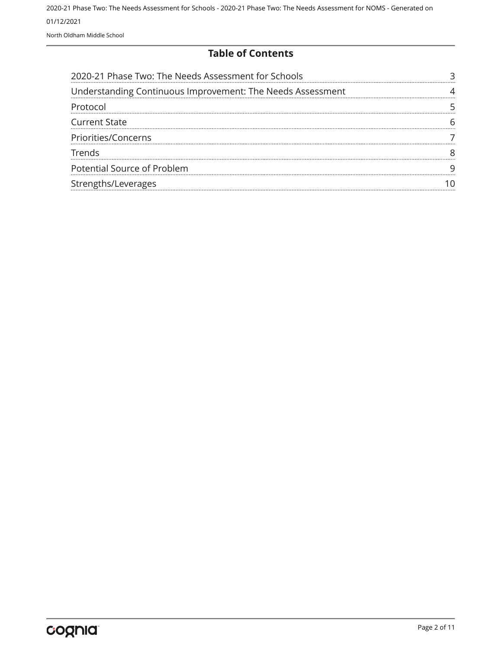**Table of Contents**

| 2020-21 Phase Two: The Needs Assessment for Schools        |  |
|------------------------------------------------------------|--|
| Understanding Continuous Improvement: The Needs Assessment |  |
| Protocol                                                   |  |
| <b>Current State</b>                                       |  |
| Priorities/Concerns                                        |  |
| Trends                                                     |  |
| Potential Source of Problem                                |  |
| Strengths/Leverages                                        |  |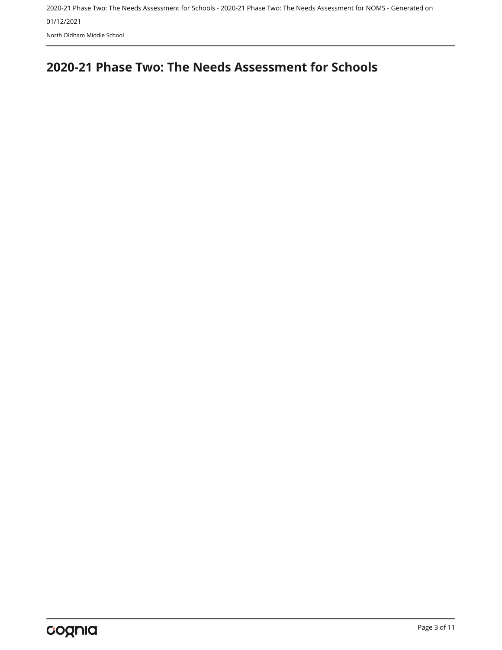## <span id="page-2-0"></span>**2020-21 Phase Two: The Needs Assessment for Schools**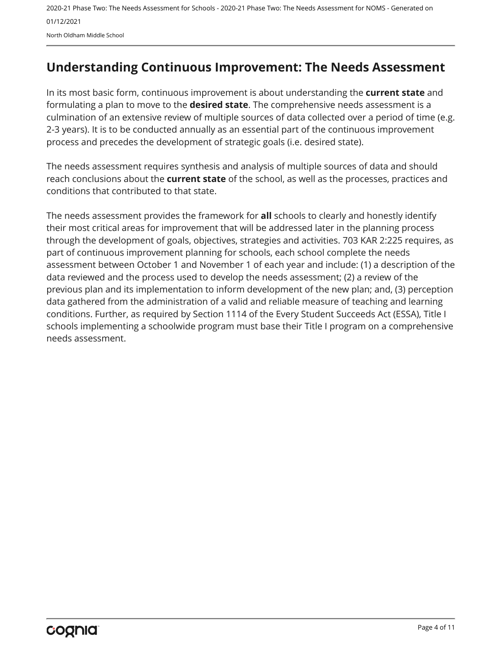## <span id="page-3-0"></span>**Understanding Continuous Improvement: The Needs Assessment**

In its most basic form, continuous improvement is about understanding the **current state** and formulating a plan to move to the **desired state**. The comprehensive needs assessment is a culmination of an extensive review of multiple sources of data collected over a period of time (e.g. 2-3 years). It is to be conducted annually as an essential part of the continuous improvement process and precedes the development of strategic goals (i.e. desired state).

The needs assessment requires synthesis and analysis of multiple sources of data and should reach conclusions about the **current state** of the school, as well as the processes, practices and conditions that contributed to that state.

The needs assessment provides the framework for **all** schools to clearly and honestly identify their most critical areas for improvement that will be addressed later in the planning process through the development of goals, objectives, strategies and activities. 703 KAR 2:225 requires, as part of continuous improvement planning for schools, each school complete the needs assessment between October 1 and November 1 of each year and include: (1) a description of the data reviewed and the process used to develop the needs assessment; (2) a review of the previous plan and its implementation to inform development of the new plan; and, (3) perception data gathered from the administration of a valid and reliable measure of teaching and learning conditions. Further, as required by Section 1114 of the Every Student Succeeds Act (ESSA), Title I schools implementing a schoolwide program must base their Title I program on a comprehensive needs assessment.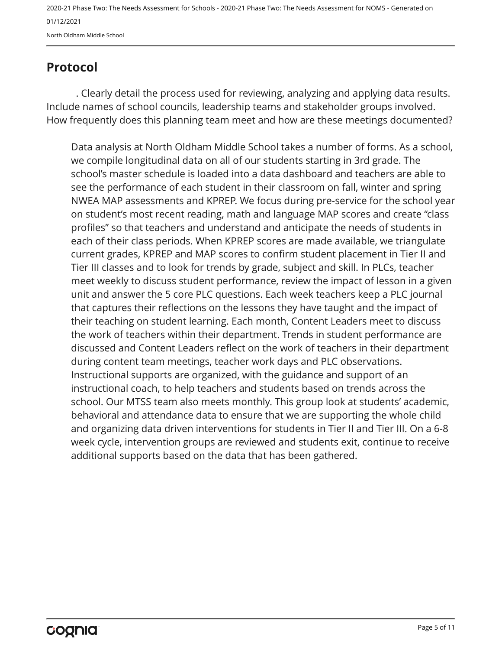## <span id="page-4-0"></span>**Protocol**

. Clearly detail the process used for reviewing, analyzing and applying data results. Include names of school councils, leadership teams and stakeholder groups involved. How frequently does this planning team meet and how are these meetings documented?

Data analysis at North Oldham Middle School takes a number of forms. As a school, we compile longitudinal data on all of our students starting in 3rd grade. The school's master schedule is loaded into a data dashboard and teachers are able to see the performance of each student in their classroom on fall, winter and spring NWEA MAP assessments and KPREP. We focus during pre-service for the school year on student's most recent reading, math and language MAP scores and create "class profiles" so that teachers and understand and anticipate the needs of students in each of their class periods. When KPREP scores are made available, we triangulate current grades, KPREP and MAP scores to confirm student placement in Tier II and Tier III classes and to look for trends by grade, subject and skill. In PLCs, teacher meet weekly to discuss student performance, review the impact of lesson in a given unit and answer the 5 core PLC questions. Each week teachers keep a PLC journal that captures their reflections on the lessons they have taught and the impact of their teaching on student learning. Each month, Content Leaders meet to discuss the work of teachers within their department. Trends in student performance are discussed and Content Leaders reflect on the work of teachers in their department during content team meetings, teacher work days and PLC observations. Instructional supports are organized, with the guidance and support of an instructional coach, to help teachers and students based on trends across the school. Our MTSS team also meets monthly. This group look at students' academic, behavioral and attendance data to ensure that we are supporting the whole child and organizing data driven interventions for students in Tier II and Tier III. On a 6-8 week cycle, intervention groups are reviewed and students exit, continue to receive additional supports based on the data that has been gathered.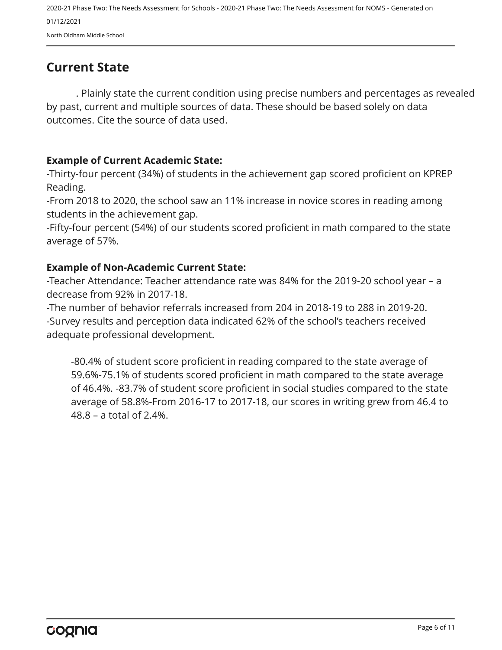## <span id="page-5-0"></span>**Current State**

. Plainly state the current condition using precise numbers and percentages as revealed by past, current and multiple sources of data. These should be based solely on data outcomes. Cite the source of data used.

#### **Example of Current Academic State:**

-Thirty-four percent (34%) of students in the achievement gap scored proficient on KPREP Reading.

-From 2018 to 2020, the school saw an 11% increase in novice scores in reading among students in the achievement gap.

-Fifty-four percent (54%) of our students scored proficient in math compared to the state average of 57%.

#### **Example of Non-Academic Current State:**

-Teacher Attendance: Teacher attendance rate was 84% for the 2019-20 school year – a decrease from 92% in 2017-18.

-The number of behavior referrals increased from 204 in 2018-19 to 288 in 2019-20. -Survey results and perception data indicated 62% of the school's teachers received adequate professional development.

-80.4% of student score proficient in reading compared to the state average of 59.6%-75.1% of students scored proficient in math compared to the state average of 46.4%. -83.7% of student score proficient in social studies compared to the state average of 58.8%-From 2016-17 to 2017-18, our scores in writing grew from 46.4 to 48.8 – a total of 2.4%.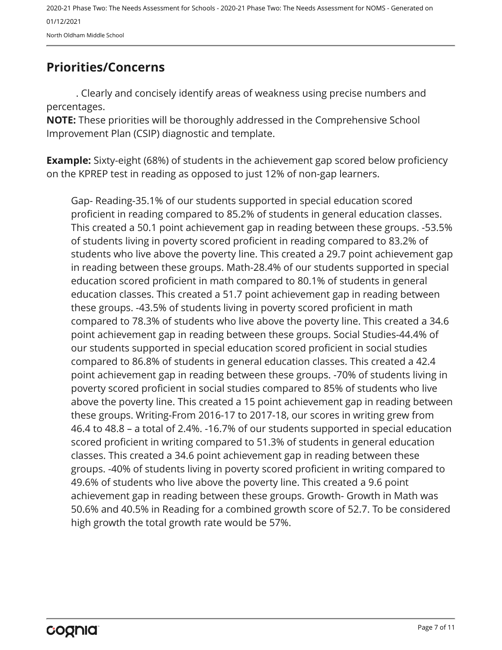2020-21 Phase Two: The Needs Assessment for Schools - 2020-21 Phase Two: The Needs Assessment for NOMS - Generated on 01/12/2021

North Oldham Middle School

## <span id="page-6-0"></span>**Priorities/Concerns**

. Clearly and concisely identify areas of weakness using precise numbers and percentages.

**NOTE:** These priorities will be thoroughly addressed in the Comprehensive School Improvement Plan (CSIP) diagnostic and template.

**Example:** Sixty-eight (68%) of students in the achievement gap scored below proficiency on the KPREP test in reading as opposed to just 12% of non-gap learners.

Gap- Reading-35.1% of our students supported in special education scored proficient in reading compared to 85.2% of students in general education classes. This created a 50.1 point achievement gap in reading between these groups. -53.5% of students living in poverty scored proficient in reading compared to 83.2% of students who live above the poverty line. This created a 29.7 point achievement gap in reading between these groups. Math-28.4% of our students supported in special education scored proficient in math compared to 80.1% of students in general education classes. This created a 51.7 point achievement gap in reading between these groups. -43.5% of students living in poverty scored proficient in math compared to 78.3% of students who live above the poverty line. This created a 34.6 point achievement gap in reading between these groups. Social Studies-44.4% of our students supported in special education scored proficient in social studies compared to 86.8% of students in general education classes. This created a 42.4 point achievement gap in reading between these groups. -70% of students living in poverty scored proficient in social studies compared to 85% of students who live above the poverty line. This created a 15 point achievement gap in reading between these groups. Writing-From 2016-17 to 2017-18, our scores in writing grew from 46.4 to 48.8 – a total of 2.4%. -16.7% of our students supported in special education scored proficient in writing compared to 51.3% of students in general education classes. This created a 34.6 point achievement gap in reading between these groups. -40% of students living in poverty scored proficient in writing compared to 49.6% of students who live above the poverty line. This created a 9.6 point achievement gap in reading between these groups. Growth- Growth in Math was 50.6% and 40.5% in Reading for a combined growth score of 52.7. To be considered high growth the total growth rate would be 57%.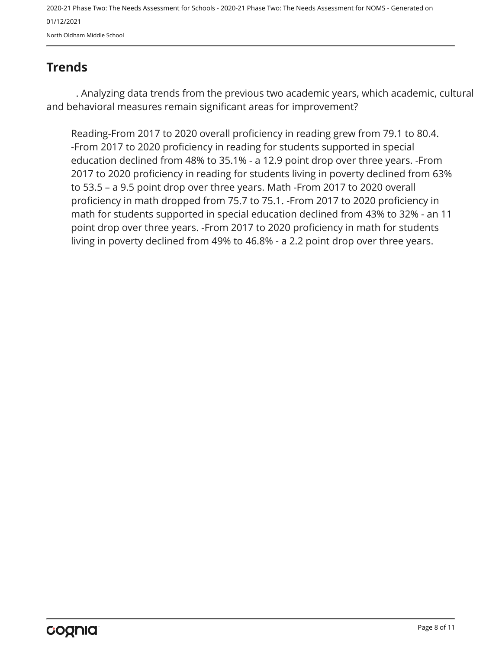## <span id="page-7-0"></span>**Trends**

. Analyzing data trends from the previous two academic years, which academic, cultural and behavioral measures remain significant areas for improvement?

Reading-From 2017 to 2020 overall proficiency in reading grew from 79.1 to 80.4. -From 2017 to 2020 proficiency in reading for students supported in special education declined from 48% to 35.1% - a 12.9 point drop over three years. -From 2017 to 2020 proficiency in reading for students living in poverty declined from 63% to 53.5 – a 9.5 point drop over three years. Math -From 2017 to 2020 overall proficiency in math dropped from 75.7 to 75.1. -From 2017 to 2020 proficiency in math for students supported in special education declined from 43% to 32% - an 11 point drop over three years. -From 2017 to 2020 proficiency in math for students living in poverty declined from 49% to 46.8% - a 2.2 point drop over three years.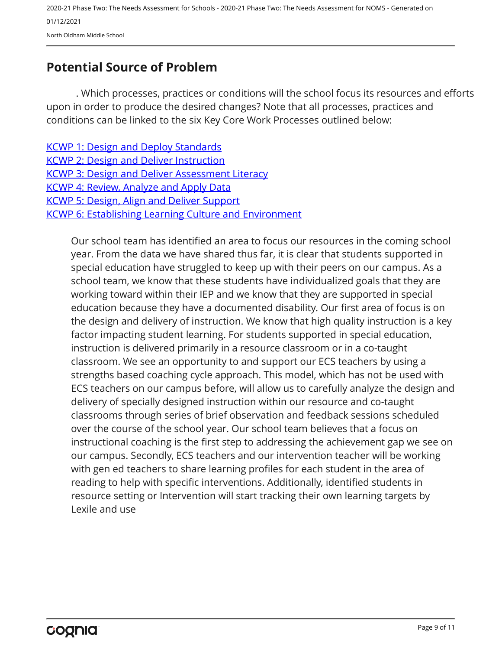## <span id="page-8-0"></span>**Potential Source of Problem**

. Which processes, practices or conditions will the school focus its resources and efforts upon in order to produce the desired changes? Note that all processes, practices and conditions can be linked to the six Key Core Work Processes outlined below:

| <b>KCWP 1: Design and Deploy Standards</b>                   |
|--------------------------------------------------------------|
| <b>KCWP 2: Design and Deliver Instruction</b>                |
| <b>KCWP 3: Design and Deliver Assessment Literacy</b>        |
| <b>KCWP 4: Review, Analyze and Apply Data</b>                |
| <b>KCWP 5: Design, Align and Deliver Support</b>             |
| <b>KCWP 6: Establishing Learning Culture and Environment</b> |
|                                                              |

Our school team has identified an area to focus our resources in the coming school year. From the data we have shared thus far, it is clear that students supported in special education have struggled to keep up with their peers on our campus. As a school team, we know that these students have individualized goals that they are working toward within their IEP and we know that they are supported in special education because they have a documented disability. Our first area of focus is on the design and delivery of instruction. We know that high quality instruction is a key factor impacting student learning. For students supported in special education, instruction is delivered primarily in a resource classroom or in a co-taught classroom. We see an opportunity to and support our ECS teachers by using a strengths based coaching cycle approach. This model, which has not be used with ECS teachers on our campus before, will allow us to carefully analyze the design and delivery of specially designed instruction within our resource and co-taught classrooms through series of brief observation and feedback sessions scheduled over the course of the school year. Our school team believes that a focus on instructional coaching is the first step to addressing the achievement gap we see on our campus. Secondly, ECS teachers and our intervention teacher will be working with gen ed teachers to share learning profiles for each student in the area of reading to help with specific interventions. Additionally, identified students in resource setting or Intervention will start tracking their own learning targets by Lexile and use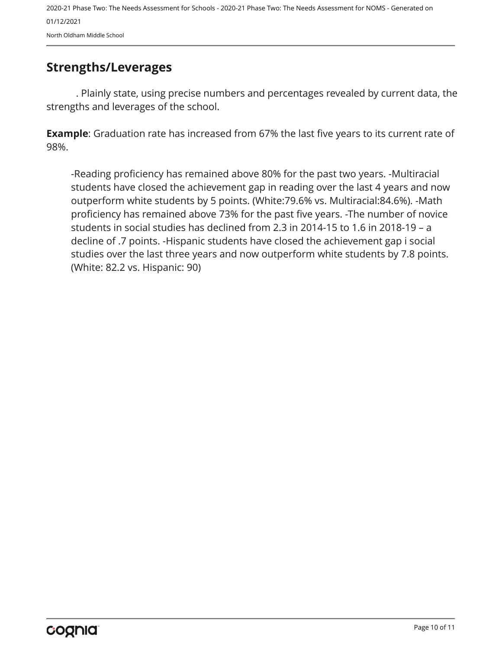## <span id="page-9-0"></span>**Strengths/Leverages**

. Plainly state, using precise numbers and percentages revealed by current data, the strengths and leverages of the school.

**Example**: Graduation rate has increased from 67% the last five years to its current rate of 98%.

-Reading proficiency has remained above 80% for the past two years. -Multiracial students have closed the achievement gap in reading over the last 4 years and now outperform white students by 5 points. (White:79.6% vs. Multiracial:84.6%). -Math proficiency has remained above 73% for the past five years. -The number of novice students in social studies has declined from 2.3 in 2014-15 to 1.6 in 2018-19 – a decline of .7 points. -Hispanic students have closed the achievement gap i social studies over the last three years and now outperform white students by 7.8 points. (White: 82.2 vs. Hispanic: 90)